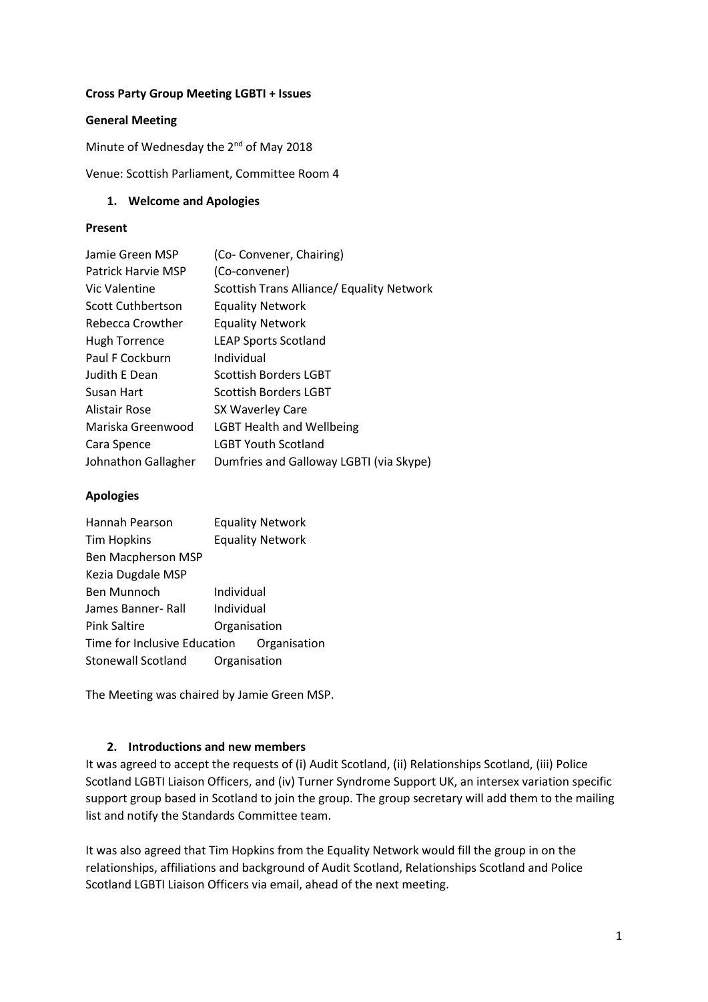### **Cross Party Group Meeting LGBTI + Issues**

### **General Meeting**

Minute of Wednesday the 2<sup>nd</sup> of May 2018

Venue: Scottish Parliament, Committee Room 4

### **1. Welcome and Apologies**

### **Present**

| Jamie Green MSP      | (Co- Convener, Chairing)                  |
|----------------------|-------------------------------------------|
| Patrick Harvie MSP   | (Co-convener)                             |
| Vic Valentine        | Scottish Trans Alliance/ Equality Network |
| Scott Cuthbertson    | <b>Equality Network</b>                   |
| Rebecca Crowther     | <b>Equality Network</b>                   |
| <b>Hugh Torrence</b> | <b>LEAP Sports Scotland</b>               |
| Paul F Cockburn      | Individual                                |
| Judith E Dean        | <b>Scottish Borders LGBT</b>              |
| Susan Hart           | Scottish Borders LGBT                     |
| Alistair Rose        | SX Waverley Care                          |
| Mariska Greenwood    | <b>LGBT Health and Wellbeing</b>          |
| Cara Spence          | <b>LGBT Youth Scotland</b>                |
| Johnathon Gallagher  | Dumfries and Galloway LGBTI (via Skype)   |

### **Apologies**

| Hannah Pearson               | <b>Equality Network</b> |  |  |
|------------------------------|-------------------------|--|--|
| <b>Tim Hopkins</b>           | <b>Equality Network</b> |  |  |
| Ben Macpherson MSP           |                         |  |  |
| Kezia Dugdale MSP            |                         |  |  |
| Ben Munnoch                  | Individual              |  |  |
| James Banner-Rall            | Individual              |  |  |
| <b>Pink Saltire</b>          | Organisation            |  |  |
| Time for Inclusive Education | Organisation            |  |  |
| Stonewall Scotland           | Organisation            |  |  |

The Meeting was chaired by Jamie Green MSP.

### **2. Introductions and new members**

It was agreed to accept the requests of (i) Audit Scotland, (ii) Relationships Scotland, (iii) Police Scotland LGBTI Liaison Officers, and (iv) Turner Syndrome Support UK, an intersex variation specific support group based in Scotland to join the group. The group secretary will add them to the mailing list and notify the Standards Committee team.

It was also agreed that Tim Hopkins from the Equality Network would fill the group in on the relationships, affiliations and background of Audit Scotland, Relationships Scotland and Police Scotland LGBTI Liaison Officers via email, ahead of the next meeting.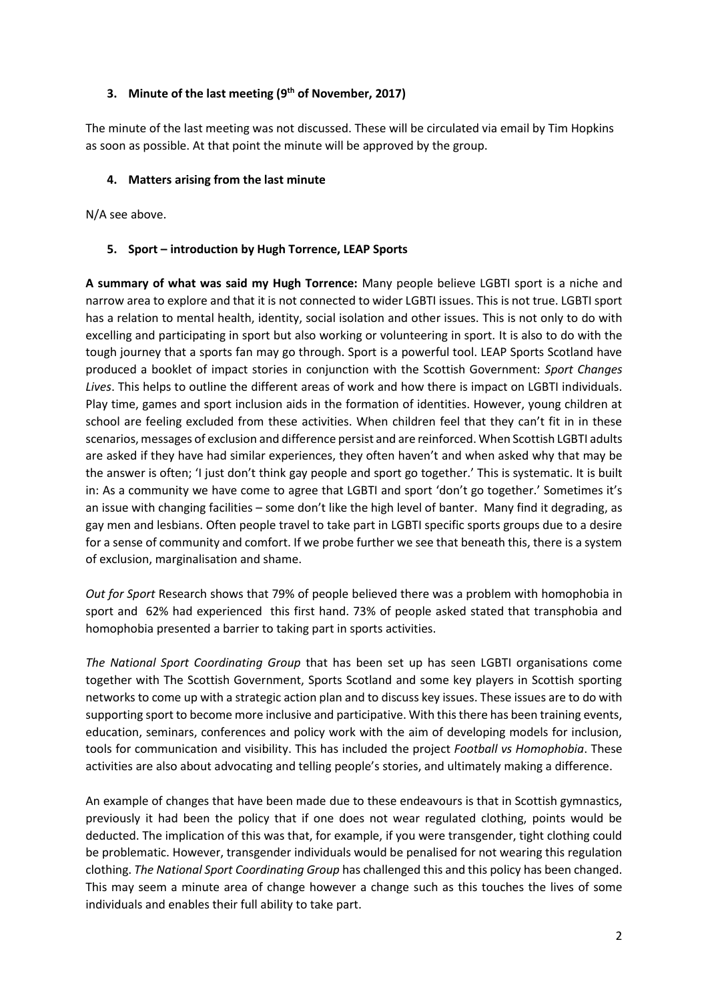### **3. Minute of the last meeting (9 th of November, 2017)**

The minute of the last meeting was not discussed. These will be circulated via email by Tim Hopkins as soon as possible. At that point the minute will be approved by the group.

### **4. Matters arising from the last minute**

N/A see above.

### **5. Sport – introduction by Hugh Torrence, LEAP Sports**

**A summary of what was said my Hugh Torrence:** Many people believe LGBTI sport is a niche and narrow area to explore and that it is not connected to wider LGBTI issues. This is not true. LGBTI sport has a relation to mental health, identity, social isolation and other issues. This is not only to do with excelling and participating in sport but also working or volunteering in sport. It is also to do with the tough journey that a sports fan may go through. Sport is a powerful tool. LEAP Sports Scotland have produced a booklet of impact stories in conjunction with the Scottish Government: *Sport Changes Lives*. This helps to outline the different areas of work and how there is impact on LGBTI individuals. Play time, games and sport inclusion aids in the formation of identities. However, young children at school are feeling excluded from these activities. When children feel that they can't fit in in these scenarios, messages of exclusion and difference persist and are reinforced. When Scottish LGBTI adults are asked if they have had similar experiences, they often haven't and when asked why that may be the answer is often; 'I just don't think gay people and sport go together.' This is systematic. It is built in: As a community we have come to agree that LGBTI and sport 'don't go together.' Sometimes it's an issue with changing facilities – some don't like the high level of banter. Many find it degrading, as gay men and lesbians. Often people travel to take part in LGBTI specific sports groups due to a desire for a sense of community and comfort. If we probe further we see that beneath this, there is a system of exclusion, marginalisation and shame.

*Out for Sport* Research shows that 79% of people believed there was a problem with homophobia in sport and 62% had experienced this first hand. 73% of people asked stated that transphobia and homophobia presented a barrier to taking part in sports activities.

*The National Sport Coordinating Group* that has been set up has seen LGBTI organisations come together with The Scottish Government, Sports Scotland and some key players in Scottish sporting networks to come up with a strategic action plan and to discuss key issues. These issues are to do with supporting sport to become more inclusive and participative. With this there has been training events, education, seminars, conferences and policy work with the aim of developing models for inclusion, tools for communication and visibility. This has included the project *Football vs Homophobia*. These activities are also about advocating and telling people's stories, and ultimately making a difference.

An example of changes that have been made due to these endeavours is that in Scottish gymnastics, previously it had been the policy that if one does not wear regulated clothing, points would be deducted. The implication of this was that, for example, if you were transgender, tight clothing could be problematic. However, transgender individuals would be penalised for not wearing this regulation clothing. *The National Sport Coordinating Group* has challenged this and this policy has been changed. This may seem a minute area of change however a change such as this touches the lives of some individuals and enables their full ability to take part.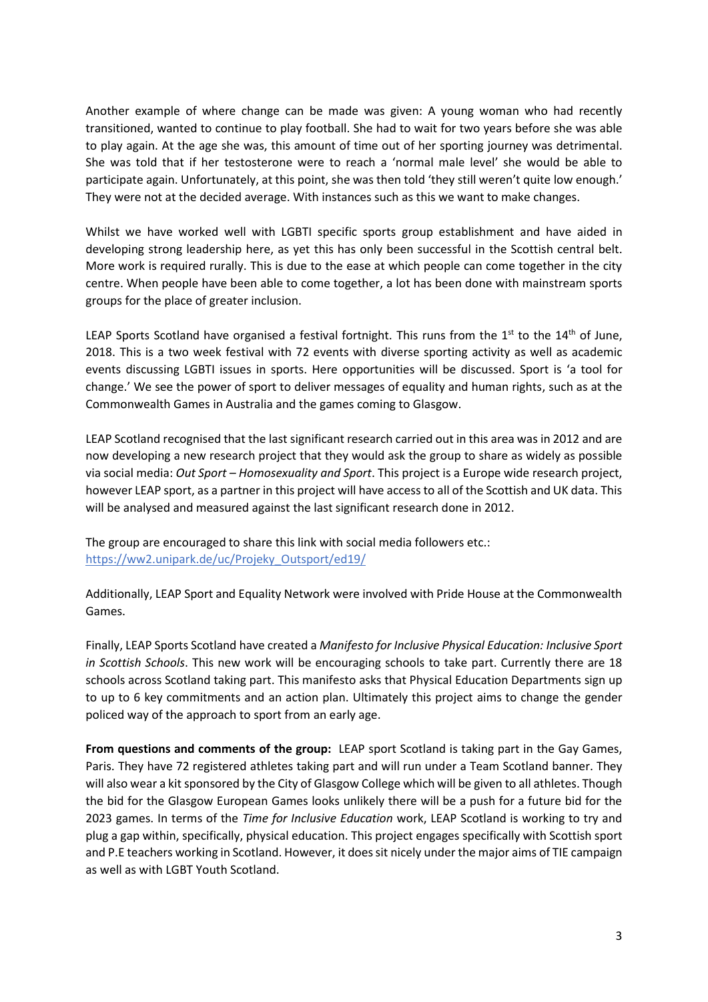Another example of where change can be made was given: A young woman who had recently transitioned, wanted to continue to play football. She had to wait for two years before she was able to play again. At the age she was, this amount of time out of her sporting journey was detrimental. She was told that if her testosterone were to reach a 'normal male level' she would be able to participate again. Unfortunately, at this point, she was then told 'they still weren't quite low enough.' They were not at the decided average. With instances such as this we want to make changes.

Whilst we have worked well with LGBTI specific sports group establishment and have aided in developing strong leadership here, as yet this has only been successful in the Scottish central belt. More work is required rurally. This is due to the ease at which people can come together in the city centre. When people have been able to come together, a lot has been done with mainstream sports groups for the place of greater inclusion.

LEAP Sports Scotland have organised a festival fortnight. This runs from the  $1<sup>st</sup>$  to the  $14<sup>th</sup>$  of June, 2018. This is a two week festival with 72 events with diverse sporting activity as well as academic events discussing LGBTI issues in sports. Here opportunities will be discussed. Sport is 'a tool for change.' We see the power of sport to deliver messages of equality and human rights, such as at the Commonwealth Games in Australia and the games coming to Glasgow.

LEAP Scotland recognised that the last significant research carried out in this area was in 2012 and are now developing a new research project that they would ask the group to share as widely as possible via social media: *Out Sport – Homosexuality and Sport*. This project is a Europe wide research project, however LEAP sport, as a partner in this project will have access to all of the Scottish and UK data. This will be analysed and measured against the last significant research done in 2012.

The group are encouraged to share this link with social media followers etc.: [https://ww2.unipark.de/uc/Projeky\\_Outsport/ed19/](https://ww2.unipark.de/uc/Projeky_Outsport/ed19/)

Additionally, LEAP Sport and Equality Network were involved with Pride House at the Commonwealth Games.

Finally, LEAP Sports Scotland have created a *Manifesto for Inclusive Physical Education: Inclusive Sport in Scottish Schools*. This new work will be encouraging schools to take part. Currently there are 18 schools across Scotland taking part. This manifesto asks that Physical Education Departments sign up to up to 6 key commitments and an action plan. Ultimately this project aims to change the gender policed way of the approach to sport from an early age.

**From questions and comments of the group:** LEAP sport Scotland is taking part in the Gay Games, Paris. They have 72 registered athletes taking part and will run under a Team Scotland banner. They will also wear a kit sponsored by the City of Glasgow College which will be given to all athletes. Though the bid for the Glasgow European Games looks unlikely there will be a push for a future bid for the 2023 games. In terms of the *Time for Inclusive Education* work, LEAP Scotland is working to try and plug a gap within, specifically, physical education. This project engages specifically with Scottish sport and P.E teachers working in Scotland. However, it does sit nicely under the major aims of TIE campaign as well as with LGBT Youth Scotland.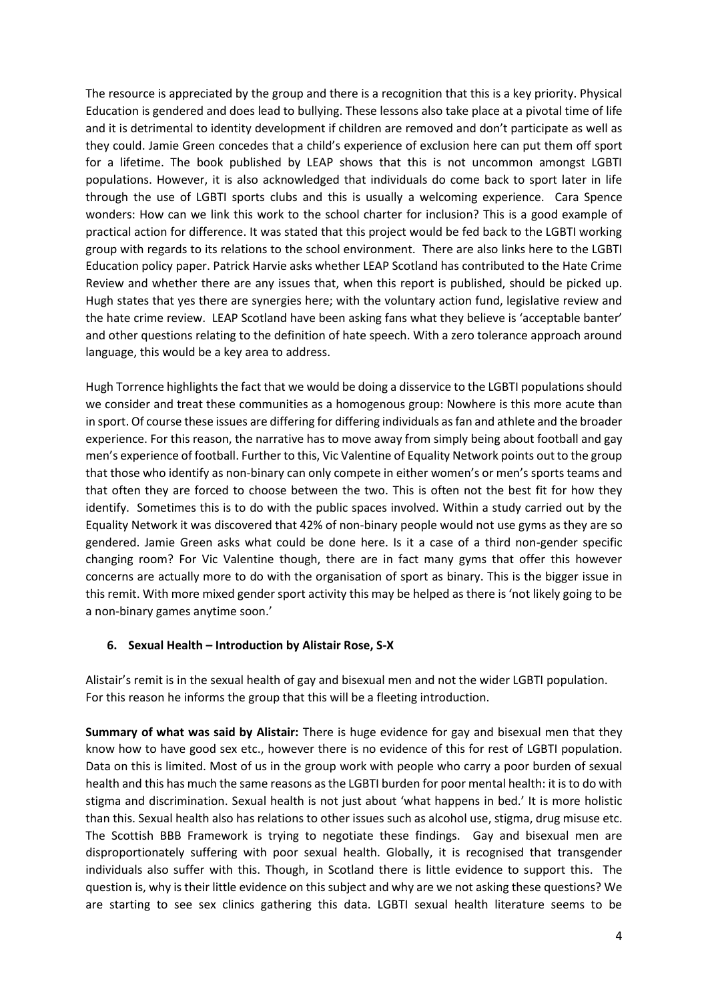The resource is appreciated by the group and there is a recognition that this is a key priority. Physical Education is gendered and does lead to bullying. These lessons also take place at a pivotal time of life and it is detrimental to identity development if children are removed and don't participate as well as they could. Jamie Green concedes that a child's experience of exclusion here can put them off sport for a lifetime. The book published by LEAP shows that this is not uncommon amongst LGBTI populations. However, it is also acknowledged that individuals do come back to sport later in life through the use of LGBTI sports clubs and this is usually a welcoming experience. Cara Spence wonders: How can we link this work to the school charter for inclusion? This is a good example of practical action for difference. It was stated that this project would be fed back to the LGBTI working group with regards to its relations to the school environment. There are also links here to the LGBTI Education policy paper. Patrick Harvie asks whether LEAP Scotland has contributed to the Hate Crime Review and whether there are any issues that, when this report is published, should be picked up. Hugh states that yes there are synergies here; with the voluntary action fund, legislative review and the hate crime review. LEAP Scotland have been asking fans what they believe is 'acceptable banter' and other questions relating to the definition of hate speech. With a zero tolerance approach around language, this would be a key area to address.

Hugh Torrence highlights the fact that we would be doing a disservice to the LGBTI populations should we consider and treat these communities as a homogenous group: Nowhere is this more acute than in sport. Of course these issues are differing for differing individuals as fan and athlete and the broader experience. For this reason, the narrative has to move away from simply being about football and gay men's experience of football. Further to this, Vic Valentine of Equality Network points out to the group that those who identify as non-binary can only compete in either women's or men's sports teams and that often they are forced to choose between the two. This is often not the best fit for how they identify. Sometimes this is to do with the public spaces involved. Within a study carried out by the Equality Network it was discovered that 42% of non-binary people would not use gyms as they are so gendered. Jamie Green asks what could be done here. Is it a case of a third non-gender specific changing room? For Vic Valentine though, there are in fact many gyms that offer this however concerns are actually more to do with the organisation of sport as binary. This is the bigger issue in this remit. With more mixed gender sport activity this may be helped as there is 'not likely going to be a non-binary games anytime soon.'

# **6. Sexual Health – Introduction by Alistair Rose, S-X**

Alistair's remit is in the sexual health of gay and bisexual men and not the wider LGBTI population. For this reason he informs the group that this will be a fleeting introduction.

**Summary of what was said by Alistair:** There is huge evidence for gay and bisexual men that they know how to have good sex etc., however there is no evidence of this for rest of LGBTI population. Data on this is limited. Most of us in the group work with people who carry a poor burden of sexual health and this has much the same reasons as the LGBTI burden for poor mental health: it is to do with stigma and discrimination. Sexual health is not just about 'what happens in bed.' It is more holistic than this. Sexual health also has relations to other issues such as alcohol use, stigma, drug misuse etc. The Scottish BBB Framework is trying to negotiate these findings. Gay and bisexual men are disproportionately suffering with poor sexual health. Globally, it is recognised that transgender individuals also suffer with this. Though, in Scotland there is little evidence to support this. The question is, why is their little evidence on this subject and why are we not asking these questions? We are starting to see sex clinics gathering this data. LGBTI sexual health literature seems to be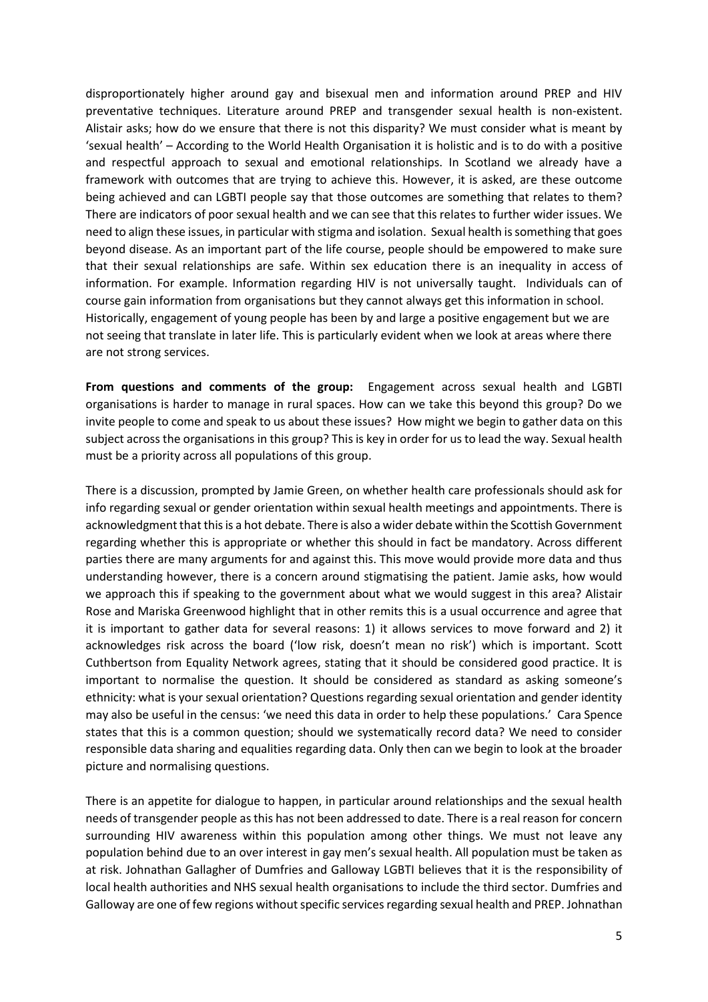disproportionately higher around gay and bisexual men and information around PREP and HIV preventative techniques. Literature around PREP and transgender sexual health is non-existent. Alistair asks; how do we ensure that there is not this disparity? We must consider what is meant by 'sexual health' – According to the World Health Organisation it is holistic and is to do with a positive and respectful approach to sexual and emotional relationships. In Scotland we already have a framework with outcomes that are trying to achieve this. However, it is asked, are these outcome being achieved and can LGBTI people say that those outcomes are something that relates to them? There are indicators of poor sexual health and we can see that this relates to further wider issues. We need to align these issues, in particular with stigma and isolation. Sexual health is something that goes beyond disease. As an important part of the life course, people should be empowered to make sure that their sexual relationships are safe. Within sex education there is an inequality in access of information. For example. Information regarding HIV is not universally taught. Individuals can of course gain information from organisations but they cannot always get this information in school. Historically, engagement of young people has been by and large a positive engagement but we are not seeing that translate in later life. This is particularly evident when we look at areas where there are not strong services.

**From questions and comments of the group:** Engagement across sexual health and LGBTI organisations is harder to manage in rural spaces. How can we take this beyond this group? Do we invite people to come and speak to us about these issues? How might we begin to gather data on this subject across the organisations in this group? This is key in order for us to lead the way. Sexual health must be a priority across all populations of this group.

There is a discussion, prompted by Jamie Green, on whether health care professionals should ask for info regarding sexual or gender orientation within sexual health meetings and appointments. There is acknowledgment that this is a hot debate. There is also a wider debate within the Scottish Government regarding whether this is appropriate or whether this should in fact be mandatory. Across different parties there are many arguments for and against this. This move would provide more data and thus understanding however, there is a concern around stigmatising the patient. Jamie asks, how would we approach this if speaking to the government about what we would suggest in this area? Alistair Rose and Mariska Greenwood highlight that in other remits this is a usual occurrence and agree that it is important to gather data for several reasons: 1) it allows services to move forward and 2) it acknowledges risk across the board ('low risk, doesn't mean no risk') which is important. Scott Cuthbertson from Equality Network agrees, stating that it should be considered good practice. It is important to normalise the question. It should be considered as standard as asking someone's ethnicity: what is your sexual orientation? Questions regarding sexual orientation and gender identity may also be useful in the census: 'we need this data in order to help these populations.' Cara Spence states that this is a common question; should we systematically record data? We need to consider responsible data sharing and equalities regarding data. Only then can we begin to look at the broader picture and normalising questions.

There is an appetite for dialogue to happen, in particular around relationships and the sexual health needs of transgender people as this has not been addressed to date. There is a real reason for concern surrounding HIV awareness within this population among other things. We must not leave any population behind due to an over interest in gay men's sexual health. All population must be taken as at risk. Johnathan Gallagher of Dumfries and Galloway LGBTI believes that it is the responsibility of local health authorities and NHS sexual health organisations to include the third sector. Dumfries and Galloway are one of few regions without specific services regarding sexual health and PREP. Johnathan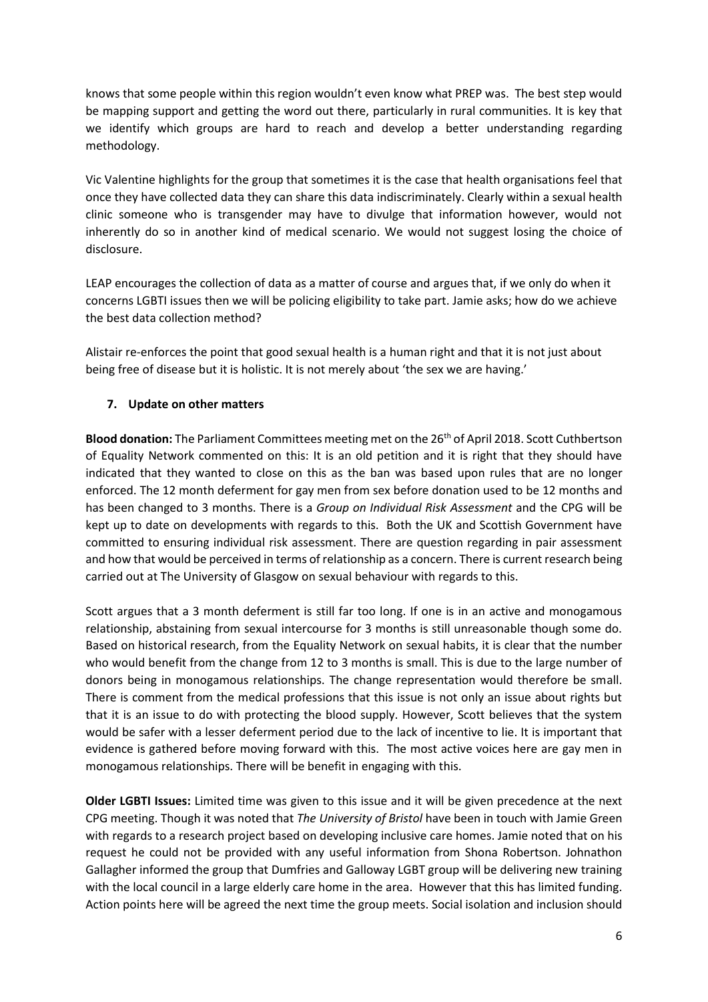knows that some people within this region wouldn't even know what PREP was. The best step would be mapping support and getting the word out there, particularly in rural communities. It is key that we identify which groups are hard to reach and develop a better understanding regarding methodology.

Vic Valentine highlights for the group that sometimes it is the case that health organisations feel that once they have collected data they can share this data indiscriminately. Clearly within a sexual health clinic someone who is transgender may have to divulge that information however, would not inherently do so in another kind of medical scenario. We would not suggest losing the choice of disclosure.

LEAP encourages the collection of data as a matter of course and argues that, if we only do when it concerns LGBTI issues then we will be policing eligibility to take part. Jamie asks; how do we achieve the best data collection method?

Alistair re-enforces the point that good sexual health is a human right and that it is not just about being free of disease but it is holistic. It is not merely about 'the sex we are having.'

# **7. Update on other matters**

**Blood donation:** The Parliament Committees meeting met on the 26th of April 2018. Scott Cuthbertson of Equality Network commented on this: It is an old petition and it is right that they should have indicated that they wanted to close on this as the ban was based upon rules that are no longer enforced. The 12 month deferment for gay men from sex before donation used to be 12 months and has been changed to 3 months. There is a *Group on Individual Risk Assessment* and the CPG will be kept up to date on developments with regards to this. Both the UK and Scottish Government have committed to ensuring individual risk assessment. There are question regarding in pair assessment and how that would be perceived in terms of relationship as a concern. There is current research being carried out at The University of Glasgow on sexual behaviour with regards to this.

Scott argues that a 3 month deferment is still far too long. If one is in an active and monogamous relationship, abstaining from sexual intercourse for 3 months is still unreasonable though some do. Based on historical research, from the Equality Network on sexual habits, it is clear that the number who would benefit from the change from 12 to 3 months is small. This is due to the large number of donors being in monogamous relationships. The change representation would therefore be small. There is comment from the medical professions that this issue is not only an issue about rights but that it is an issue to do with protecting the blood supply. However, Scott believes that the system would be safer with a lesser deferment period due to the lack of incentive to lie. It is important that evidence is gathered before moving forward with this. The most active voices here are gay men in monogamous relationships. There will be benefit in engaging with this.

**Older LGBTI Issues:** Limited time was given to this issue and it will be given precedence at the next CPG meeting. Though it was noted that *The University of Bristol* have been in touch with Jamie Green with regards to a research project based on developing inclusive care homes. Jamie noted that on his request he could not be provided with any useful information from Shona Robertson. Johnathon Gallagher informed the group that Dumfries and Galloway LGBT group will be delivering new training with the local council in a large elderly care home in the area. However that this has limited funding. Action points here will be agreed the next time the group meets. Social isolation and inclusion should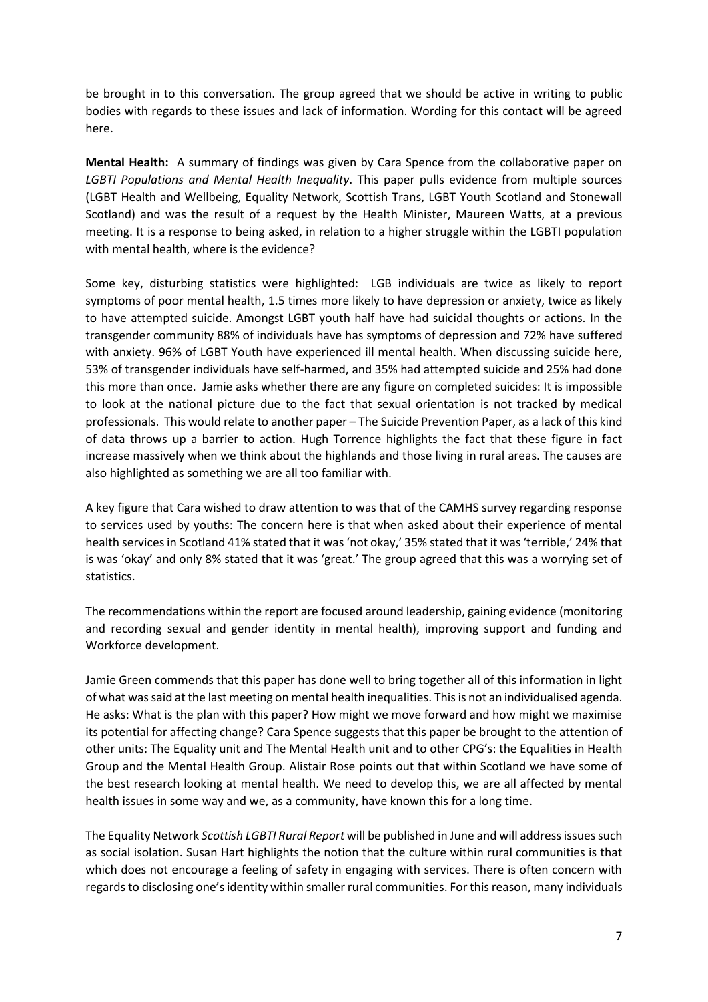be brought in to this conversation. The group agreed that we should be active in writing to public bodies with regards to these issues and lack of information. Wording for this contact will be agreed here.

**Mental Health:** A summary of findings was given by Cara Spence from the collaborative paper on *LGBTI Populations and Mental Health Inequality*. This paper pulls evidence from multiple sources (LGBT Health and Wellbeing, Equality Network, Scottish Trans, LGBT Youth Scotland and Stonewall Scotland) and was the result of a request by the Health Minister, Maureen Watts, at a previous meeting. It is a response to being asked, in relation to a higher struggle within the LGBTI population with mental health, where is the evidence?

Some key, disturbing statistics were highlighted: LGB individuals are twice as likely to report symptoms of poor mental health, 1.5 times more likely to have depression or anxiety, twice as likely to have attempted suicide. Amongst LGBT youth half have had suicidal thoughts or actions. In the transgender community 88% of individuals have has symptoms of depression and 72% have suffered with anxiety. 96% of LGBT Youth have experienced ill mental health. When discussing suicide here, 53% of transgender individuals have self-harmed, and 35% had attempted suicide and 25% had done this more than once. Jamie asks whether there are any figure on completed suicides: It is impossible to look at the national picture due to the fact that sexual orientation is not tracked by medical professionals. This would relate to another paper – The Suicide Prevention Paper, as a lack of this kind of data throws up a barrier to action. Hugh Torrence highlights the fact that these figure in fact increase massively when we think about the highlands and those living in rural areas. The causes are also highlighted as something we are all too familiar with.

A key figure that Cara wished to draw attention to was that of the CAMHS survey regarding response to services used by youths: The concern here is that when asked about their experience of mental health services in Scotland 41% stated that it was 'not okay,' 35% stated that it was 'terrible,' 24% that is was 'okay' and only 8% stated that it was 'great.' The group agreed that this was a worrying set of statistics.

The recommendations within the report are focused around leadership, gaining evidence (monitoring and recording sexual and gender identity in mental health), improving support and funding and Workforce development.

Jamie Green commends that this paper has done well to bring together all of this information in light of what was said at the last meeting on mental health inequalities. This is not an individualised agenda. He asks: What is the plan with this paper? How might we move forward and how might we maximise its potential for affecting change? Cara Spence suggests that this paper be brought to the attention of other units: The Equality unit and The Mental Health unit and to other CPG's: the Equalities in Health Group and the Mental Health Group. Alistair Rose points out that within Scotland we have some of the best research looking at mental health. We need to develop this, we are all affected by mental health issues in some way and we, as a community, have known this for a long time.

The Equality Network *Scottish LGBTI Rural Report* will be published in June and will address issues such as social isolation. Susan Hart highlights the notion that the culture within rural communities is that which does not encourage a feeling of safety in engaging with services. There is often concern with regards to disclosing one's identity within smaller rural communities. For this reason, many individuals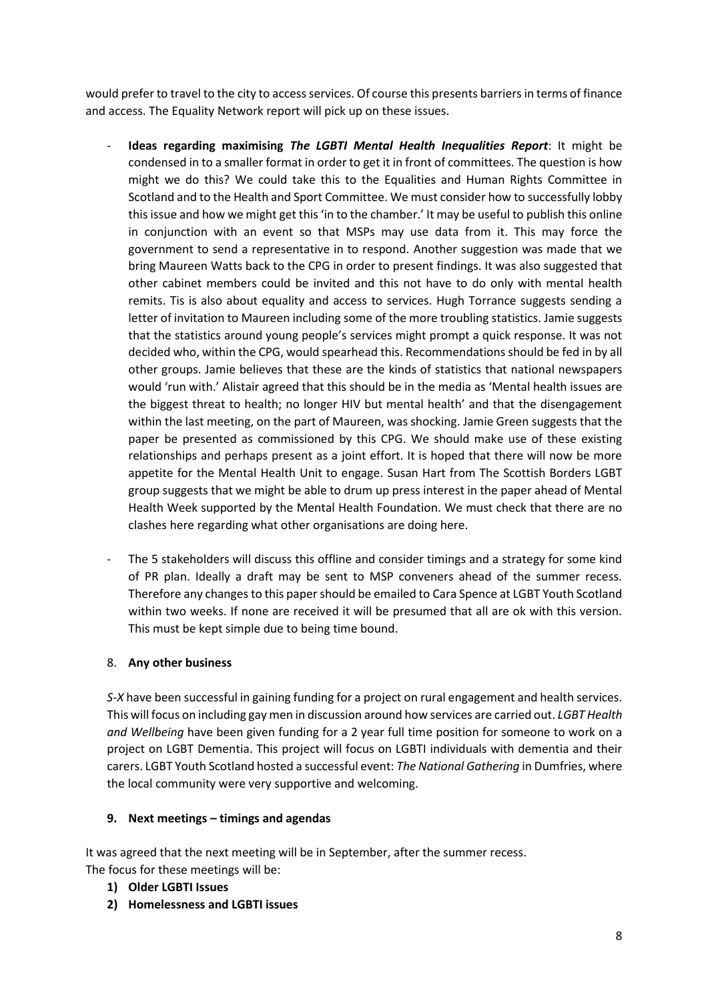would prefer to travel to the city to access services. Of course this presents barriers in terms of finance and access. The Equality Network report will pick up on these issues.

- **Ideas regarding maximising** *The LGBTI Mental Health Inequalities Report*: It might be condensed in to a smaller format in order to get it in front of committees. The question is how might we do this? We could take this to the Equalities and Human Rights Committee in Scotland and to the Health and Sport Committee. We must consider how to successfully lobby this issue and how we might get this 'in to the chamber.' It may be useful to publish this online in conjunction with an event so that MSPs may use data from it. This may force the government to send a representative in to respond. Another suggestion was made that we bring Maureen Watts back to the CPG in order to present findings. It was also suggested that other cabinet members could be invited and this not have to do only with mental health remits. Tis is also about equality and access to services. Hugh Torrance suggests sending a letter of invitation to Maureen including some of the more troubling statistics. Jamie suggests that the statistics around young people's services might prompt a quick response. It was not decided who, within the CPG, would spearhead this. Recommendations should be fed in by all other groups. Jamie believes that these are the kinds of statistics that national newspapers would 'run with.' Alistair agreed that this should be in the media as 'Mental health issues are the biggest threat to health; no longer HIV but mental health' and that the disengagement within the last meeting, on the part of Maureen, was shocking. Jamie Green suggests that the paper be presented as commissioned by this CPG. We should make use of these existing relationships and perhaps present as a joint effort. It is hoped that there will now be more appetite for the Mental Health Unit to engage. Susan Hart from The Scottish Borders LGBT group suggests that we might be able to drum up press interest in the paper ahead of Mental Health Week supported by the Mental Health Foundation. We must check that there are no clashes here regarding what other organisations are doing here.
- The 5 stakeholders will discuss this offline and consider timings and a strategy for some kind of PR plan. Ideally a draft may be sent to MSP conveners ahead of the summer recess. Therefore any changes to this paper should be emailed to Cara Spence at LGBT Youth Scotland within two weeks. If none are received it will be presumed that all are ok with this version. This must be kept simple due to being time bound.

# 8. **Any other business**

*S-X* have been successful in gaining funding for a project on rural engagement and health services. This will focus on including gay men in discussion around how services are carried out. *LGBT Health and Wellbeing* have been given funding for a 2 year full time position for someone to work on a project on LGBT Dementia. This project will focus on LGBTI individuals with dementia and their carers. LGBT Youth Scotland hosted a successful event: *The National Gathering* in Dumfries, where the local community were very supportive and welcoming.

# **9. Next meetings – timings and agendas**

It was agreed that the next meeting will be in September, after the summer recess. The focus for these meetings will be:

- **1) Older LGBTI Issues**
- **2) Homelessness and LGBTI issues**